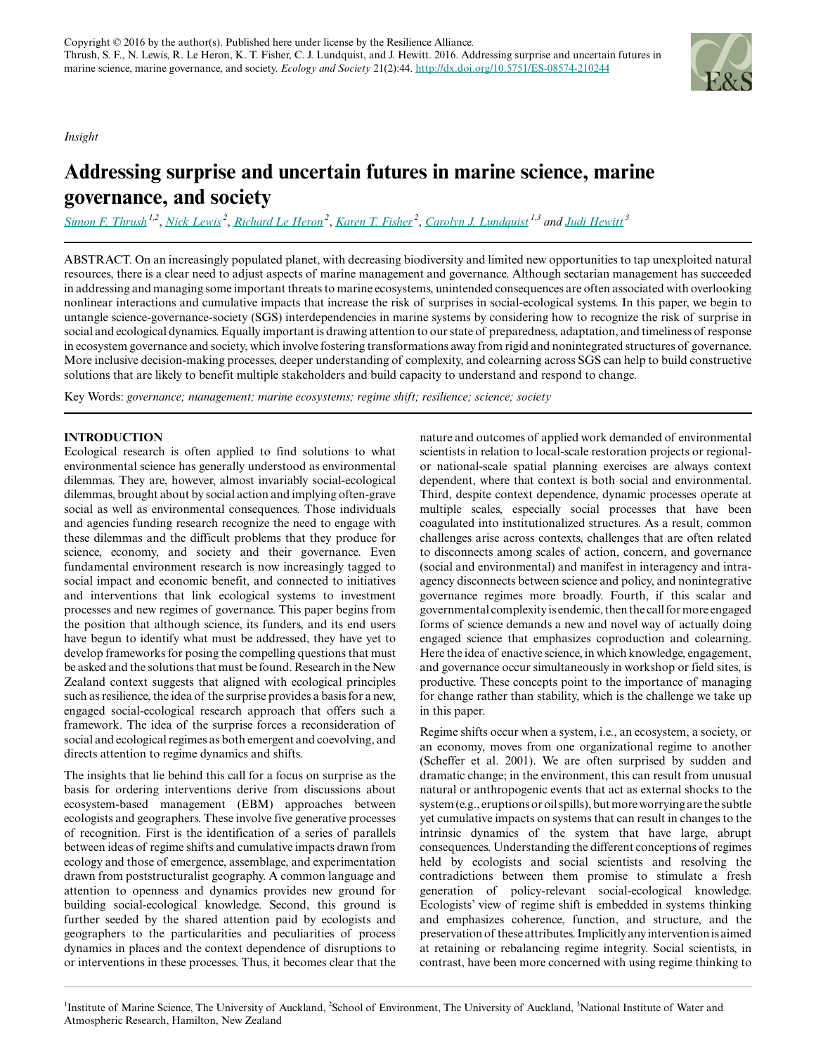*Insight*

# **Addressing surprise and uncertain futures in marine science, marine governance, and society**

*[Simon F. Thrush](mailto:simon.thrush@auckland.ac.nz) 1,2* , *[Nick Lewis](mailto:n.lewis@auckland.ac.nz)<sup>2</sup>* , *[Richard Le Heron](mailto:r.leheron@auckland.ac.nz)<sup>2</sup>* , *[Karen T. Fisher](mailto:k.fisher@auckland.ac.nz)<sup>2</sup>* , *[Carolyn J. Lundquist](mailto:carolyn.lundquist@niwa.co.nz) 1,3 and [Judi Hewitt](mailto:Judi.Hewitt@niwa.co.nz)<sup>3</sup>*

ABSTRACT. On an increasingly populated planet, with decreasing biodiversity and limited new opportunities to tap unexploited natural resources, there is a clear need to adjust aspects of marine management and governance. Although sectarian management has succeeded in addressing and managing some important threats to marine ecosystems, unintended consequences are often associated with overlooking nonlinear interactions and cumulative impacts that increase the risk of surprises in social-ecological systems. In this paper, we begin to untangle science-governance-society (SGS) interdependencies in marine systems by considering how to recognize the risk of surprise in social and ecological dynamics. Equally important is drawing attention to our state of preparedness, adaptation, and timeliness of response in ecosystem governance and society, which involve fostering transformations away from rigid and nonintegrated structures of governance. More inclusive decision-making processes, deeper understanding of complexity, and colearning across SGS can help to build constructive solutions that are likely to benefit multiple stakeholders and build capacity to understand and respond to change.

Key Words: *governance; management; marine ecosystems; regime shift; resilience; science; society*

# **INTRODUCTION**

Ecological research is often applied to find solutions to what environmental science has generally understood as environmental dilemmas. They are, however, almost invariably social-ecological dilemmas, brought about by social action and implying often-grave social as well as environmental consequences. Those individuals and agencies funding research recognize the need to engage with these dilemmas and the difficult problems that they produce for science, economy, and society and their governance. Even fundamental environment research is now increasingly tagged to social impact and economic benefit, and connected to initiatives and interventions that link ecological systems to investment processes and new regimes of governance. This paper begins from the position that although science, its funders, and its end users have begun to identify what must be addressed, they have yet to develop frameworks for posing the compelling questions that must be asked and the solutions that must be found. Research in the New Zealand context suggests that aligned with ecological principles such as resilience, the idea of the surprise provides a basis for a new, engaged social-ecological research approach that offers such a framework. The idea of the surprise forces a reconsideration of social and ecological regimes as both emergent and coevolving, and directs attention to regime dynamics and shifts.

The insights that lie behind this call for a focus on surprise as the basis for ordering interventions derive from discussions about ecosystem-based management (EBM) approaches between ecologists and geographers. These involve five generative processes of recognition. First is the identification of a series of parallels between ideas of regime shifts and cumulative impacts drawn from ecology and those of emergence, assemblage, and experimentation drawn from poststructuralist geography. A common language and attention to openness and dynamics provides new ground for building social-ecological knowledge. Second, this ground is further seeded by the shared attention paid by ecologists and geographers to the particularities and peculiarities of process dynamics in places and the context dependence of disruptions to or interventions in these processes. Thus, it becomes clear that the

nature and outcomes of applied work demanded of environmental scientists in relation to local-scale restoration projects or regionalor national-scale spatial planning exercises are always context dependent, where that context is both social and environmental. Third, despite context dependence, dynamic processes operate at multiple scales, especially social processes that have been coagulated into institutionalized structures. As a result, common challenges arise across contexts, challenges that are often related to disconnects among scales of action, concern, and governance (social and environmental) and manifest in interagency and intraagency disconnects between science and policy, and nonintegrative governance regimes more broadly. Fourth, if this scalar and governmental complexity is endemic, then the call for more engaged forms of science demands a new and novel way of actually doing engaged science that emphasizes coproduction and colearning. Here the idea of enactive science, in which knowledge, engagement, and governance occur simultaneously in workshop or field sites, is productive. These concepts point to the importance of managing for change rather than stability, which is the challenge we take up in this paper.

Regime shifts occur when a system, i.e., an ecosystem, a society, or an economy, moves from one organizational regime to another (Scheffer et al. 2001). We are often surprised by sudden and dramatic change; in the environment, this can result from unusual natural or anthropogenic events that act as external shocks to the system (e.g., eruptions or oil spills), but more worrying are the subtle yet cumulative impacts on systems that can result in changes to the intrinsic dynamics of the system that have large, abrupt consequences. Understanding the different conceptions of regimes held by ecologists and social scientists and resolving the contradictions between them promise to stimulate a fresh generation of policy-relevant social-ecological knowledge. Ecologists' view of regime shift is embedded in systems thinking and emphasizes coherence, function, and structure, and the preservation of these attributes. Implicitly any intervention is aimed at retaining or rebalancing regime integrity. Social scientists, in contrast, have been more concerned with using regime thinking to

<sup>1</sup>Institute of Marine Science, The University of Auckland, <sup>2</sup>School of Environment, The University of Auckland, <sup>3</sup>National Institute of Water and Atmospheric Research, Hamilton, New Zealand

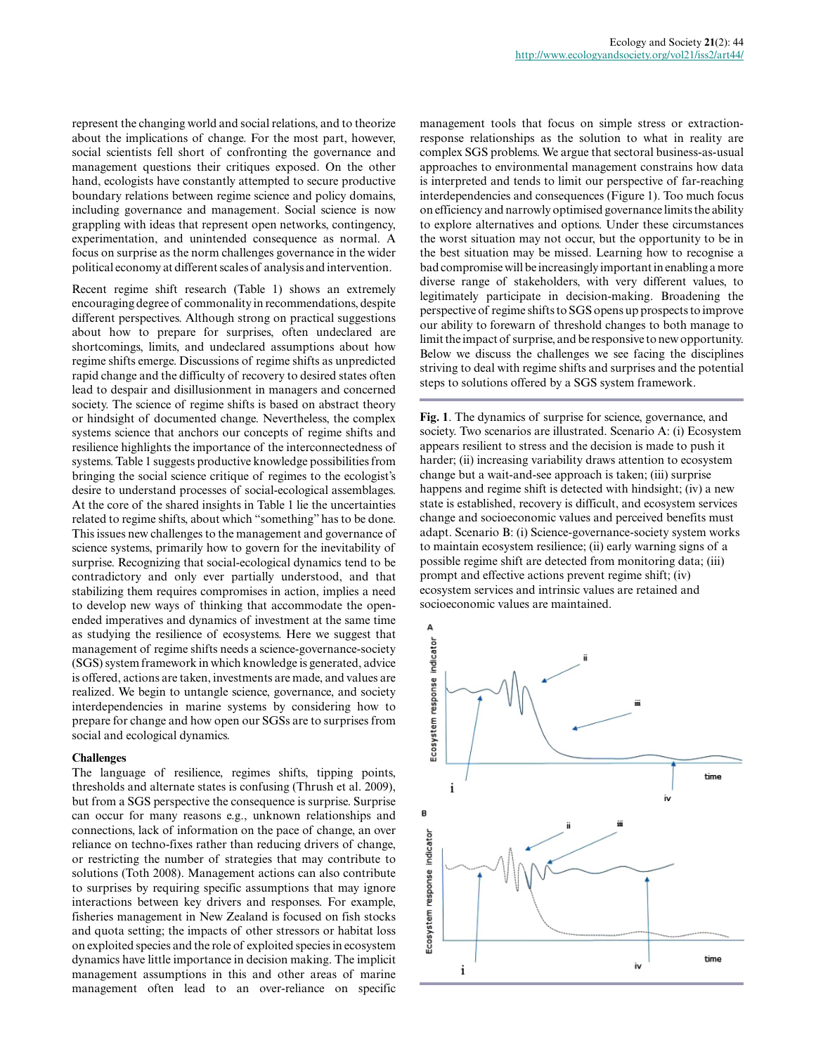represent the changing world and social relations, and to theorize about the implications of change. For the most part, however, social scientists fell short of confronting the governance and management questions their critiques exposed. On the other hand, ecologists have constantly attempted to secure productive boundary relations between regime science and policy domains, including governance and management. Social science is now grappling with ideas that represent open networks, contingency, experimentation, and unintended consequence as normal. A focus on surprise as the norm challenges governance in the wider political economy at different scales of analysis and intervention.

Recent regime shift research (Table 1) shows an extremely encouraging degree of commonality in recommendations, despite different perspectives. Although strong on practical suggestions about how to prepare for surprises, often undeclared are shortcomings, limits, and undeclared assumptions about how regime shifts emerge. Discussions of regime shifts as unpredicted rapid change and the difficulty of recovery to desired states often lead to despair and disillusionment in managers and concerned society. The science of regime shifts is based on abstract theory or hindsight of documented change. Nevertheless, the complex systems science that anchors our concepts of regime shifts and resilience highlights the importance of the interconnectedness of systems. Table 1 suggests productive knowledge possibilities from bringing the social science critique of regimes to the ecologist's desire to understand processes of social-ecological assemblages. At the core of the shared insights in Table 1 lie the uncertainties related to regime shifts, about which "something" has to be done. This issues new challenges to the management and governance of science systems, primarily how to govern for the inevitability of surprise. Recognizing that social-ecological dynamics tend to be contradictory and only ever partially understood, and that stabilizing them requires compromises in action, implies a need to develop new ways of thinking that accommodate the openended imperatives and dynamics of investment at the same time as studying the resilience of ecosystems. Here we suggest that management of regime shifts needs a science-governance-society (SGS) system framework in which knowledge is generated, advice is offered, actions are taken, investments are made, and values are realized. We begin to untangle science, governance, and society interdependencies in marine systems by considering how to prepare for change and how open our SGSs are to surprises from social and ecological dynamics.

# **Challenges**

The language of resilience, regimes shifts, tipping points, thresholds and alternate states is confusing (Thrush et al. 2009), but from a SGS perspective the consequence is surprise. Surprise can occur for many reasons e.g., unknown relationships and connections, lack of information on the pace of change, an over reliance on techno-fixes rather than reducing drivers of change, or restricting the number of strategies that may contribute to solutions (Toth 2008). Management actions can also contribute to surprises by requiring specific assumptions that may ignore interactions between key drivers and responses. For example, fisheries management in New Zealand is focused on fish stocks and quota setting; the impacts of other stressors or habitat loss on exploited species and the role of exploited species in ecosystem dynamics have little importance in decision making. The implicit management assumptions in this and other areas of marine management often lead to an over-reliance on specific

management tools that focus on simple stress or extractionresponse relationships as the solution to what in reality are complex SGS problems. We argue that sectoral business-as-usual approaches to environmental management constrains how data is interpreted and tends to limit our perspective of far-reaching interdependencies and consequences (Figure 1). Too much focus on efficiency and narrowly optimised governance limits the ability to explore alternatives and options. Under these circumstances the worst situation may not occur, but the opportunity to be in the best situation may be missed. Learning how to recognise a bad compromise will be increasingly important in enabling a more diverse range of stakeholders, with very different values, to legitimately participate in decision-making. Broadening the perspective of regime shifts to SGS opens up prospects to improve our ability to forewarn of threshold changes to both manage to limit the impact of surprise, and be responsive to new opportunity. Below we discuss the challenges we see facing the disciplines striving to deal with regime shifts and surprises and the potential steps to solutions offered by a SGS system framework.

**Fig. 1**. The dynamics of surprise for science, governance, and society. Two scenarios are illustrated. Scenario A: (i) Ecosystem appears resilient to stress and the decision is made to push it harder; (ii) increasing variability draws attention to ecosystem change but a wait-and-see approach is taken; (iii) surprise happens and regime shift is detected with hindsight; (iv) a new state is established, recovery is difficult, and ecosystem services change and socioeconomic values and perceived benefits must adapt. Scenario B: (i) Science-governance-society system works to maintain ecosystem resilience; (ii) early warning signs of a possible regime shift are detected from monitoring data; (iii) prompt and effective actions prevent regime shift; (iv) ecosystem services and intrinsic values are retained and socioeconomic values are maintained.

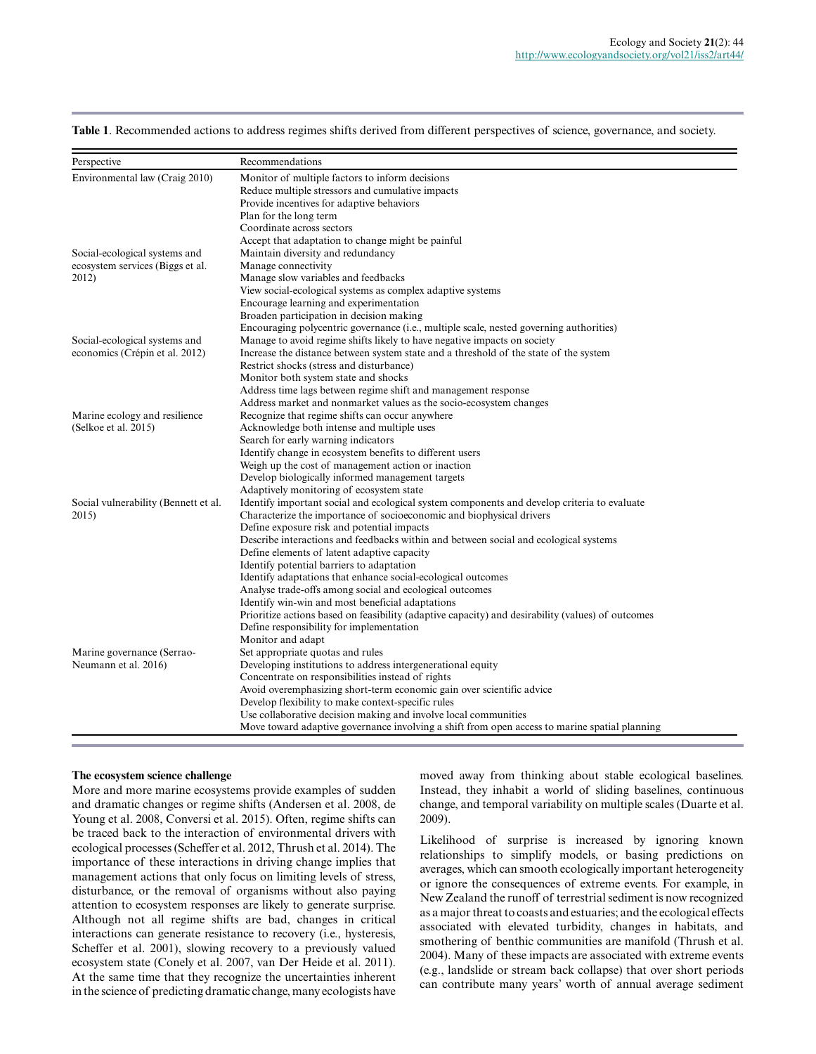| Perspective                               | Recommendations                                                                                                                                                   |
|-------------------------------------------|-------------------------------------------------------------------------------------------------------------------------------------------------------------------|
| Environmental law (Craig 2010)            | Monitor of multiple factors to inform decisions                                                                                                                   |
|                                           | Reduce multiple stressors and cumulative impacts                                                                                                                  |
|                                           | Provide incentives for adaptive behaviors                                                                                                                         |
|                                           | Plan for the long term                                                                                                                                            |
|                                           | Coordinate across sectors                                                                                                                                         |
|                                           | Accept that adaptation to change might be painful                                                                                                                 |
| Social-ecological systems and             | Maintain diversity and redundancy                                                                                                                                 |
| ecosystem services (Biggs et al.<br>2012) | Manage connectivity                                                                                                                                               |
|                                           | Manage slow variables and feedbacks                                                                                                                               |
|                                           | View social-ecological systems as complex adaptive systems                                                                                                        |
|                                           | Encourage learning and experimentation                                                                                                                            |
|                                           | Broaden participation in decision making                                                                                                                          |
|                                           | Encouraging polycentric governance (i.e., multiple scale, nested governing authorities)                                                                           |
| Social-ecological systems and             | Manage to avoid regime shifts likely to have negative impacts on society<br>Increase the distance between system state and a threshold of the state of the system |
| economics (Crépin et al. 2012)            | Restrict shocks (stress and disturbance)                                                                                                                          |
|                                           |                                                                                                                                                                   |
|                                           | Monitor both system state and shocks                                                                                                                              |
|                                           | Address time lags between regime shift and management response<br>Address market and nonmarket values as the socio-ecosystem changes                              |
| Marine ecology and resilience             | Recognize that regime shifts can occur anywhere                                                                                                                   |
| (Selkoe et al. 2015)                      | Acknowledge both intense and multiple uses                                                                                                                        |
|                                           | Search for early warning indicators                                                                                                                               |
|                                           | Identify change in ecosystem benefits to different users                                                                                                          |
|                                           | Weigh up the cost of management action or inaction                                                                                                                |
|                                           | Develop biologically informed management targets                                                                                                                  |
|                                           | Adaptively monitoring of ecosystem state                                                                                                                          |
| Social vulnerability (Bennett et al.      | Identify important social and ecological system components and develop criteria to evaluate                                                                       |
| 2015)                                     | Characterize the importance of socioeconomic and biophysical drivers                                                                                              |
|                                           | Define exposure risk and potential impacts                                                                                                                        |
|                                           | Describe interactions and feedbacks within and between social and ecological systems                                                                              |
|                                           | Define elements of latent adaptive capacity                                                                                                                       |
|                                           | Identify potential barriers to adaptation                                                                                                                         |
|                                           | Identify adaptations that enhance social-ecological outcomes                                                                                                      |
|                                           | Analyse trade-offs among social and ecological outcomes                                                                                                           |
|                                           | Identify win-win and most beneficial adaptations                                                                                                                  |
|                                           | Prioritize actions based on feasibility (adaptive capacity) and desirability (values) of outcomes                                                                 |
|                                           | Define responsibility for implementation                                                                                                                          |
|                                           | Monitor and adapt                                                                                                                                                 |
| Marine governance (Serrao-                | Set appropriate quotas and rules                                                                                                                                  |
| Neumann et al. 2016)                      | Developing institutions to address intergenerational equity                                                                                                       |
|                                           | Concentrate on responsibilities instead of rights                                                                                                                 |
|                                           | Avoid overemphasizing short-term economic gain over scientific advice                                                                                             |
|                                           | Develop flexibility to make context-specific rules                                                                                                                |
|                                           | Use collaborative decision making and involve local communities                                                                                                   |
|                                           | Move toward adaptive governance involving a shift from open access to marine spatial planning                                                                     |
|                                           |                                                                                                                                                                   |

**Table 1**. Recommended actions to address regimes shifts derived from different perspectives of science, governance, and society.

# **The ecosystem science challenge**

More and more marine ecosystems provide examples of sudden and dramatic changes or regime shifts (Andersen et al. 2008, de Young et al. 2008, Conversi et al. 2015). Often, regime shifts can be traced back to the interaction of environmental drivers with ecological processes (Scheffer et al. 2012, Thrush et al. 2014). The importance of these interactions in driving change implies that management actions that only focus on limiting levels of stress, disturbance, or the removal of organisms without also paying attention to ecosystem responses are likely to generate surprise. Although not all regime shifts are bad, changes in critical interactions can generate resistance to recovery (i.e., hysteresis, Scheffer et al. 2001), slowing recovery to a previously valued ecosystem state (Conely et al. 2007, van Der Heide et al. 2011). At the same time that they recognize the uncertainties inherent in the science of predicting dramatic change, many ecologists have

moved away from thinking about stable ecological baselines. Instead, they inhabit a world of sliding baselines, continuous change, and temporal variability on multiple scales (Duarte et al. 2009).

Likelihood of surprise is increased by ignoring known relationships to simplify models, or basing predictions on averages, which can smooth ecologically important heterogeneity or ignore the consequences of extreme events. For example, in New Zealand the runoff of terrestrial sediment is now recognized as a major threat to coasts and estuaries; and the ecological effects associated with elevated turbidity, changes in habitats, and smothering of benthic communities are manifold (Thrush et al. 2004). Many of these impacts are associated with extreme events (e.g., landslide or stream back collapse) that over short periods can contribute many years' worth of annual average sediment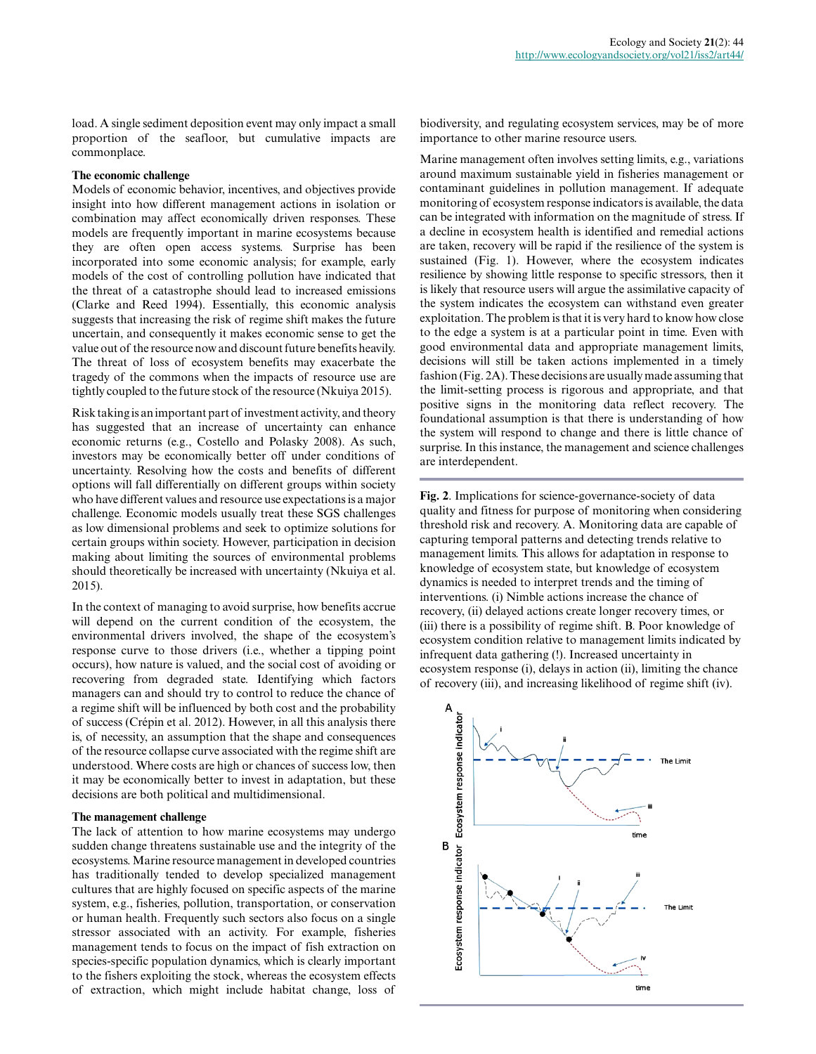load. A single sediment deposition event may only impact a small proportion of the seafloor, but cumulative impacts are commonplace.

# **The economic challenge**

Models of economic behavior, incentives, and objectives provide insight into how different management actions in isolation or combination may affect economically driven responses. These models are frequently important in marine ecosystems because they are often open access systems. Surprise has been incorporated into some economic analysis; for example, early models of the cost of controlling pollution have indicated that the threat of a catastrophe should lead to increased emissions (Clarke and Reed 1994). Essentially, this economic analysis suggests that increasing the risk of regime shift makes the future uncertain, and consequently it makes economic sense to get the value out of the resource now and discount future benefits heavily. The threat of loss of ecosystem benefits may exacerbate the tragedy of the commons when the impacts of resource use are tightly coupled to the future stock of the resource (Nkuiya 2015).

Risk taking is an important part of investment activity, and theory has suggested that an increase of uncertainty can enhance economic returns (e.g., Costello and Polasky 2008). As such, investors may be economically better off under conditions of uncertainty. Resolving how the costs and benefits of different options will fall differentially on different groups within society who have different values and resource use expectations is a major challenge. Economic models usually treat these SGS challenges as low dimensional problems and seek to optimize solutions for certain groups within society. However, participation in decision making about limiting the sources of environmental problems should theoretically be increased with uncertainty (Nkuiya et al. 2015).

In the context of managing to avoid surprise, how benefits accrue will depend on the current condition of the ecosystem, the environmental drivers involved, the shape of the ecosystem's response curve to those drivers (i.e., whether a tipping point occurs), how nature is valued, and the social cost of avoiding or recovering from degraded state. Identifying which factors managers can and should try to control to reduce the chance of a regime shift will be influenced by both cost and the probability of success (Crépin et al. 2012). However, in all this analysis there is, of necessity, an assumption that the shape and consequences of the resource collapse curve associated with the regime shift are understood. Where costs are high or chances of success low, then it may be economically better to invest in adaptation, but these decisions are both political and multidimensional.

#### **The management challenge**

The lack of attention to how marine ecosystems may undergo sudden change threatens sustainable use and the integrity of the ecosystems. Marine resource management in developed countries has traditionally tended to develop specialized management cultures that are highly focused on specific aspects of the marine system, e.g., fisheries, pollution, transportation, or conservation or human health. Frequently such sectors also focus on a single stressor associated with an activity. For example, fisheries management tends to focus on the impact of fish extraction on species-specific population dynamics, which is clearly important to the fishers exploiting the stock, whereas the ecosystem effects of extraction, which might include habitat change, loss of

biodiversity, and regulating ecosystem services, may be of more importance to other marine resource users.

Marine management often involves setting limits, e.g., variations around maximum sustainable yield in fisheries management or contaminant guidelines in pollution management. If adequate monitoring of ecosystem response indicators is available, the data can be integrated with information on the magnitude of stress. If a decline in ecosystem health is identified and remedial actions are taken, recovery will be rapid if the resilience of the system is sustained (Fig. 1). However, where the ecosystem indicates resilience by showing little response to specific stressors, then it is likely that resource users will argue the assimilative capacity of the system indicates the ecosystem can withstand even greater exploitation. The problem is that it is very hard to know how close to the edge a system is at a particular point in time. Even with good environmental data and appropriate management limits, decisions will still be taken actions implemented in a timely fashion (Fig. 2A). These decisions are usually made assuming that the limit-setting process is rigorous and appropriate, and that positive signs in the monitoring data reflect recovery. The foundational assumption is that there is understanding of how the system will respond to change and there is little chance of surprise. In this instance, the management and science challenges are interdependent.

**Fig. 2**. Implications for science-governance-society of data quality and fitness for purpose of monitoring when considering threshold risk and recovery. A. Monitoring data are capable of capturing temporal patterns and detecting trends relative to management limits. This allows for adaptation in response to knowledge of ecosystem state, but knowledge of ecosystem dynamics is needed to interpret trends and the timing of interventions. (i) Nimble actions increase the chance of recovery, (ii) delayed actions create longer recovery times, or (iii) there is a possibility of regime shift. B. Poor knowledge of ecosystem condition relative to management limits indicated by infrequent data gathering (!). Increased uncertainty in ecosystem response (i), delays in action (ii), limiting the chance of recovery (iii), and increasing likelihood of regime shift (iv).

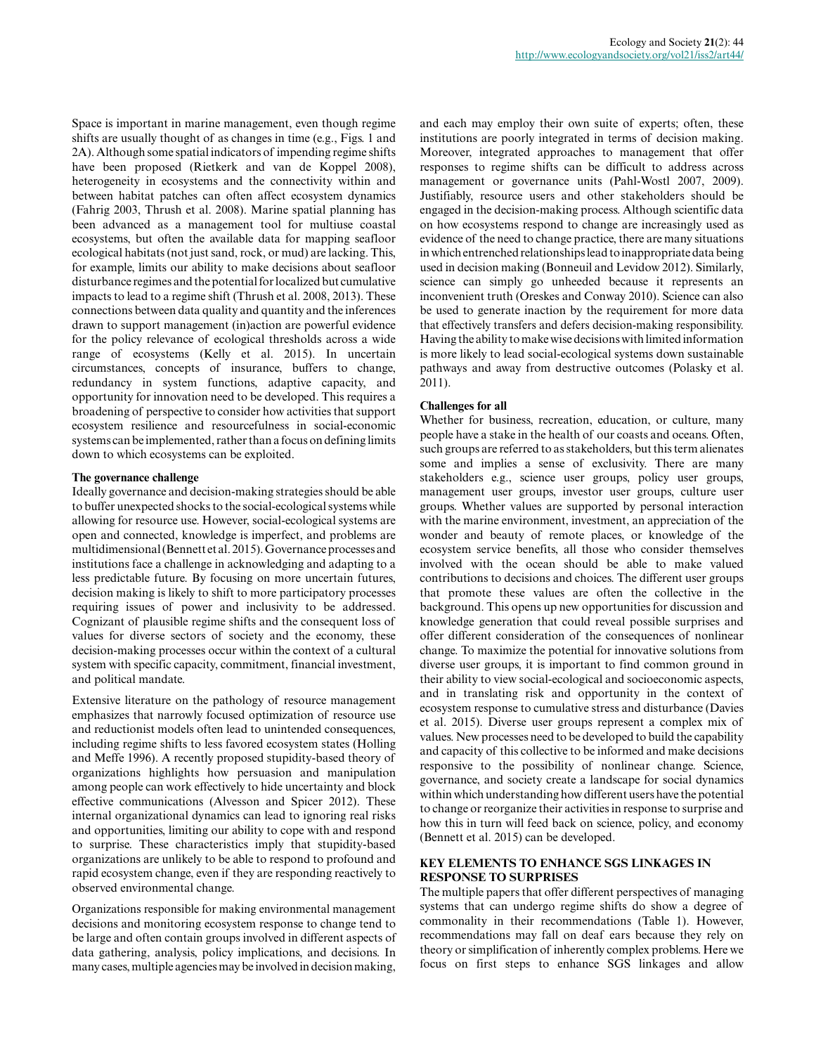Space is important in marine management, even though regime shifts are usually thought of as changes in time (e.g., Figs. 1 and 2A). Although some spatial indicators of impending regime shifts have been proposed (Rietkerk and van de Koppel 2008), heterogeneity in ecosystems and the connectivity within and between habitat patches can often affect ecosystem dynamics (Fahrig 2003, Thrush et al. 2008). Marine spatial planning has been advanced as a management tool for multiuse coastal ecosystems, but often the available data for mapping seafloor ecological habitats (not just sand, rock, or mud) are lacking. This, for example, limits our ability to make decisions about seafloor disturbance regimes and the potential for localized but cumulative impacts to lead to a regime shift (Thrush et al. 2008, 2013). These connections between data quality and quantity and the inferences drawn to support management (in)action are powerful evidence for the policy relevance of ecological thresholds across a wide range of ecosystems (Kelly et al. 2015). In uncertain circumstances, concepts of insurance, buffers to change, redundancy in system functions, adaptive capacity, and opportunity for innovation need to be developed. This requires a broadening of perspective to consider how activities that support ecosystem resilience and resourcefulness in social-economic systems can be implemented, rather than a focus on defining limits down to which ecosystems can be exploited.

# **The governance challenge**

Ideally governance and decision-making strategies should be able to buffer unexpected shocks to the social-ecological systems while allowing for resource use. However, social-ecological systems are open and connected, knowledge is imperfect, and problems are multidimensional (Bennett et al. 2015). Governance processes and institutions face a challenge in acknowledging and adapting to a less predictable future. By focusing on more uncertain futures, decision making is likely to shift to more participatory processes requiring issues of power and inclusivity to be addressed. Cognizant of plausible regime shifts and the consequent loss of values for diverse sectors of society and the economy, these decision-making processes occur within the context of a cultural system with specific capacity, commitment, financial investment, and political mandate.

Extensive literature on the pathology of resource management emphasizes that narrowly focused optimization of resource use and reductionist models often lead to unintended consequences, including regime shifts to less favored ecosystem states (Holling and Meffe 1996). A recently proposed stupidity-based theory of organizations highlights how persuasion and manipulation among people can work effectively to hide uncertainty and block effective communications (Alvesson and Spicer 2012). These internal organizational dynamics can lead to ignoring real risks and opportunities, limiting our ability to cope with and respond to surprise. These characteristics imply that stupidity-based organizations are unlikely to be able to respond to profound and rapid ecosystem change, even if they are responding reactively to observed environmental change.

Organizations responsible for making environmental management decisions and monitoring ecosystem response to change tend to be large and often contain groups involved in different aspects of data gathering, analysis, policy implications, and decisions. In many cases, multiple agencies may be involved in decision making,

and each may employ their own suite of experts; often, these institutions are poorly integrated in terms of decision making. Moreover, integrated approaches to management that offer responses to regime shifts can be difficult to address across management or governance units (Pahl-Wostl 2007, 2009). Justifiably, resource users and other stakeholders should be engaged in the decision-making process. Although scientific data on how ecosystems respond to change are increasingly used as evidence of the need to change practice, there are many situations in which entrenched relationships lead to inappropriate data being used in decision making (Bonneuil and Levidow 2012). Similarly, science can simply go unheeded because it represents an inconvenient truth (Oreskes and Conway 2010). Science can also be used to generate inaction by the requirement for more data that effectively transfers and defers decision-making responsibility. Having the ability to make wise decisions with limited information is more likely to lead social-ecological systems down sustainable pathways and away from destructive outcomes (Polasky et al. 2011).

# **Challenges for all**

Whether for business, recreation, education, or culture, many people have a stake in the health of our coasts and oceans. Often, such groups are referred to as stakeholders, but this term alienates some and implies a sense of exclusivity. There are many stakeholders e.g., science user groups, policy user groups, management user groups, investor user groups, culture user groups. Whether values are supported by personal interaction with the marine environment, investment, an appreciation of the wonder and beauty of remote places, or knowledge of the ecosystem service benefits, all those who consider themselves involved with the ocean should be able to make valued contributions to decisions and choices. The different user groups that promote these values are often the collective in the background. This opens up new opportunities for discussion and knowledge generation that could reveal possible surprises and offer different consideration of the consequences of nonlinear change. To maximize the potential for innovative solutions from diverse user groups, it is important to find common ground in their ability to view social-ecological and socioeconomic aspects, and in translating risk and opportunity in the context of ecosystem response to cumulative stress and disturbance (Davies et al. 2015). Diverse user groups represent a complex mix of values. New processes need to be developed to build the capability and capacity of this collective to be informed and make decisions responsive to the possibility of nonlinear change. Science, governance, and society create a landscape for social dynamics within which understanding how different users have the potential to change or reorganize their activities in response to surprise and how this in turn will feed back on science, policy, and economy (Bennett et al. 2015) can be developed.

# **KEY ELEMENTS TO ENHANCE SGS LINKAGES IN RESPONSE TO SURPRISES**

The multiple papers that offer different perspectives of managing systems that can undergo regime shifts do show a degree of commonality in their recommendations (Table 1). However, recommendations may fall on deaf ears because they rely on theory or simplification of inherently complex problems. Here we focus on first steps to enhance SGS linkages and allow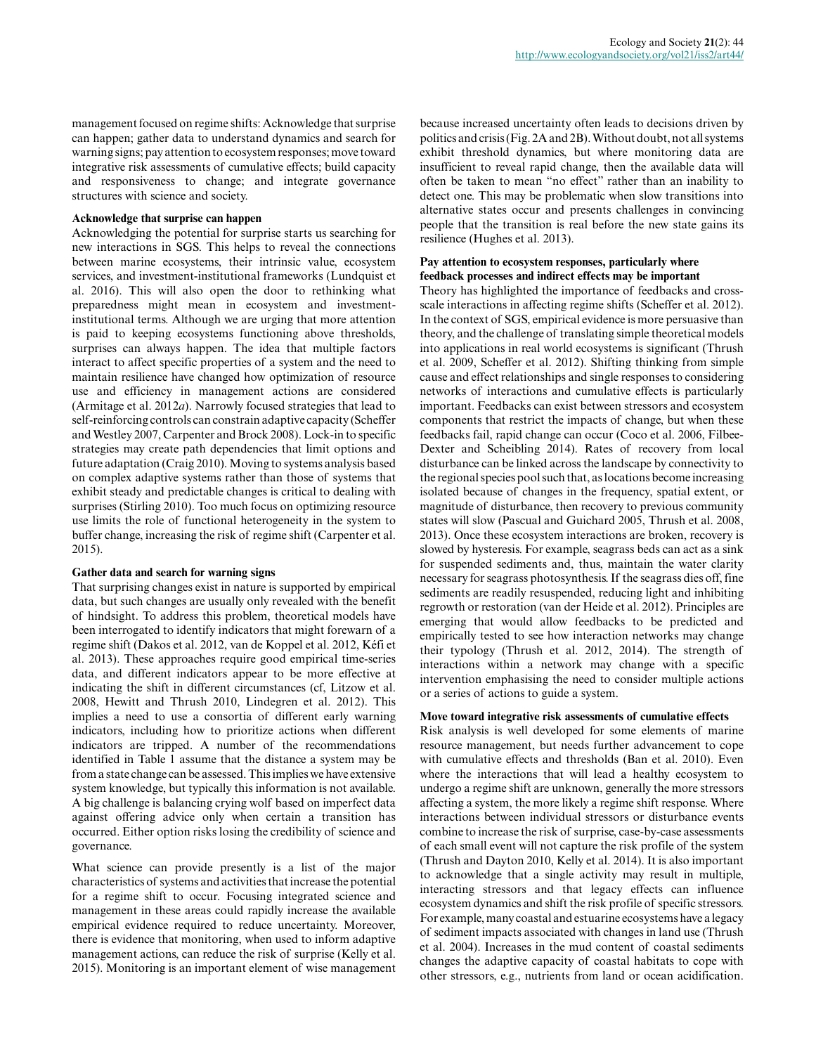management focused on regime shifts: Acknowledge that surprise can happen; gather data to understand dynamics and search for warning signs; pay attention to ecosystem responses; move toward integrative risk assessments of cumulative effects; build capacity and responsiveness to change; and integrate governance structures with science and society.

#### **Acknowledge that surprise can happen**

Acknowledging the potential for surprise starts us searching for new interactions in SGS. This helps to reveal the connections between marine ecosystems, their intrinsic value, ecosystem services, and investment-institutional frameworks (Lundquist et al. 2016). This will also open the door to rethinking what preparedness might mean in ecosystem and investmentinstitutional terms. Although we are urging that more attention is paid to keeping ecosystems functioning above thresholds, surprises can always happen. The idea that multiple factors interact to affect specific properties of a system and the need to maintain resilience have changed how optimization of resource use and efficiency in management actions are considered (Armitage et al. 2012*a*). Narrowly focused strategies that lead to self-reinforcing controls can constrain adaptive capacity (Scheffer and Westley 2007, Carpenter and Brock 2008). Lock-in to specific strategies may create path dependencies that limit options and future adaptation (Craig 2010). Moving to systems analysis based on complex adaptive systems rather than those of systems that exhibit steady and predictable changes is critical to dealing with surprises (Stirling 2010). Too much focus on optimizing resource use limits the role of functional heterogeneity in the system to buffer change, increasing the risk of regime shift (Carpenter et al. 2015).

# **Gather data and search for warning signs**

That surprising changes exist in nature is supported by empirical data, but such changes are usually only revealed with the benefit of hindsight. To address this problem, theoretical models have been interrogated to identify indicators that might forewarn of a regime shift (Dakos et al. 2012, van de Koppel et al. 2012, Kéfi et al. 2013). These approaches require good empirical time-series data, and different indicators appear to be more effective at indicating the shift in different circumstances (cf, Litzow et al. 2008, Hewitt and Thrush 2010, Lindegren et al. 2012). This implies a need to use a consortia of different early warning indicators, including how to prioritize actions when different indicators are tripped. A number of the recommendations identified in Table 1 assume that the distance a system may be from a state change can be assessed. This implies we have extensive system knowledge, but typically this information is not available. A big challenge is balancing crying wolf based on imperfect data against offering advice only when certain a transition has occurred. Either option risks losing the credibility of science and governance.

What science can provide presently is a list of the major characteristics of systems and activities that increase the potential for a regime shift to occur. Focusing integrated science and management in these areas could rapidly increase the available empirical evidence required to reduce uncertainty. Moreover, there is evidence that monitoring, when used to inform adaptive management actions, can reduce the risk of surprise (Kelly et al. 2015). Monitoring is an important element of wise management because increased uncertainty often leads to decisions driven by politics and crisis (Fig. 2A and 2B). Without doubt, not all systems exhibit threshold dynamics, but where monitoring data are insufficient to reveal rapid change, then the available data will often be taken to mean "no effect" rather than an inability to detect one. This may be problematic when slow transitions into alternative states occur and presents challenges in convincing people that the transition is real before the new state gains its resilience (Hughes et al. 2013).

# **Pay attention to ecosystem responses, particularly where feedback processes and indirect effects may be important**

Theory has highlighted the importance of feedbacks and crossscale interactions in affecting regime shifts (Scheffer et al. 2012). In the context of SGS, empirical evidence is more persuasive than theory, and the challenge of translating simple theoretical models into applications in real world ecosystems is significant (Thrush et al. 2009, Scheffer et al. 2012). Shifting thinking from simple cause and effect relationships and single responses to considering networks of interactions and cumulative effects is particularly important. Feedbacks can exist between stressors and ecosystem components that restrict the impacts of change, but when these feedbacks fail, rapid change can occur (Coco et al. 2006, Filbee-Dexter and Scheibling 2014). Rates of recovery from local disturbance can be linked across the landscape by connectivity to the regional species pool such that, as locations become increasing isolated because of changes in the frequency, spatial extent, or magnitude of disturbance, then recovery to previous community states will slow (Pascual and Guichard 2005, Thrush et al. 2008, 2013). Once these ecosystem interactions are broken, recovery is slowed by hysteresis. For example, seagrass beds can act as a sink for suspended sediments and, thus, maintain the water clarity necessary for seagrass photosynthesis. If the seagrass dies off, fine sediments are readily resuspended, reducing light and inhibiting regrowth or restoration (van der Heide et al. 2012). Principles are emerging that would allow feedbacks to be predicted and empirically tested to see how interaction networks may change their typology (Thrush et al. 2012, 2014). The strength of interactions within a network may change with a specific intervention emphasising the need to consider multiple actions or a series of actions to guide a system.

#### **Move toward integrative risk assessments of cumulative effects**

Risk analysis is well developed for some elements of marine resource management, but needs further advancement to cope with cumulative effects and thresholds (Ban et al. 2010). Even where the interactions that will lead a healthy ecosystem to undergo a regime shift are unknown, generally the more stressors affecting a system, the more likely a regime shift response. Where interactions between individual stressors or disturbance events combine to increase the risk of surprise, case-by-case assessments of each small event will not capture the risk profile of the system (Thrush and Dayton 2010, Kelly et al. 2014). It is also important to acknowledge that a single activity may result in multiple, interacting stressors and that legacy effects can influence ecosystem dynamics and shift the risk profile of specific stressors. For example, many coastal and estuarine ecosystems have a legacy of sediment impacts associated with changes in land use (Thrush et al. 2004). Increases in the mud content of coastal sediments changes the adaptive capacity of coastal habitats to cope with other stressors, e.g., nutrients from land or ocean acidification.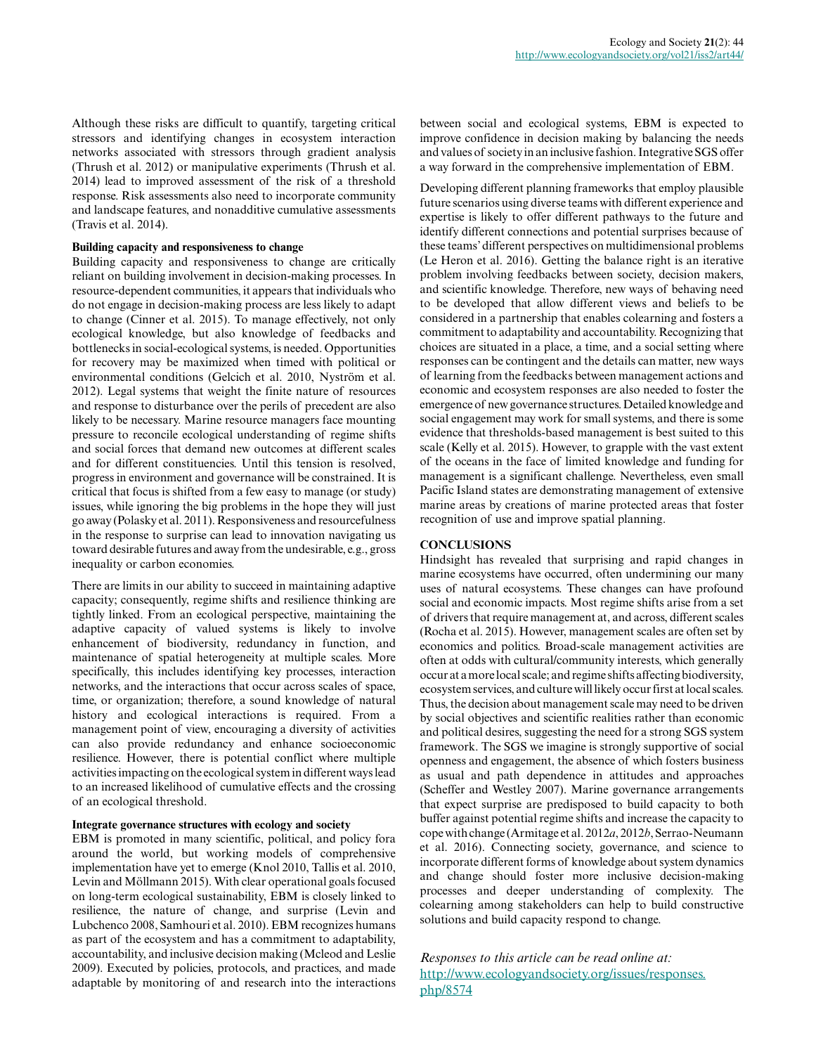Although these risks are difficult to quantify, targeting critical stressors and identifying changes in ecosystem interaction networks associated with stressors through gradient analysis (Thrush et al. 2012) or manipulative experiments (Thrush et al. 2014) lead to improved assessment of the risk of a threshold response. Risk assessments also need to incorporate community and landscape features, and nonadditive cumulative assessments (Travis et al. 2014).

#### **Building capacity and responsiveness to change**

Building capacity and responsiveness to change are critically reliant on building involvement in decision-making processes. In resource-dependent communities, it appears that individuals who do not engage in decision-making process are less likely to adapt to change (Cinner et al. 2015). To manage effectively, not only ecological knowledge, but also knowledge of feedbacks and bottlenecks in social-ecological systems, is needed. Opportunities for recovery may be maximized when timed with political or environmental conditions (Gelcich et al. 2010, Nyström et al. 2012). Legal systems that weight the finite nature of resources and response to disturbance over the perils of precedent are also likely to be necessary. Marine resource managers face mounting pressure to reconcile ecological understanding of regime shifts and social forces that demand new outcomes at different scales and for different constituencies. Until this tension is resolved, progress in environment and governance will be constrained. It is critical that focus is shifted from a few easy to manage (or study) issues, while ignoring the big problems in the hope they will just go away (Polasky et al. 2011). Responsiveness and resourcefulness in the response to surprise can lead to innovation navigating us toward desirable futures and away from the undesirable, e.g., gross inequality or carbon economies.

There are limits in our ability to succeed in maintaining adaptive capacity; consequently, regime shifts and resilience thinking are tightly linked. From an ecological perspective, maintaining the adaptive capacity of valued systems is likely to involve enhancement of biodiversity, redundancy in function, and maintenance of spatial heterogeneity at multiple scales. More specifically, this includes identifying key processes, interaction networks, and the interactions that occur across scales of space, time, or organization; therefore, a sound knowledge of natural history and ecological interactions is required. From a management point of view, encouraging a diversity of activities can also provide redundancy and enhance socioeconomic resilience. However, there is potential conflict where multiple activities impacting on the ecological system in different ways lead to an increased likelihood of cumulative effects and the crossing of an ecological threshold.

#### **Integrate governance structures with ecology and society**

EBM is promoted in many scientific, political, and policy fora around the world, but working models of comprehensive implementation have yet to emerge (Knol 2010, Tallis et al. 2010, Levin and Möllmann 2015). With clear operational goals focused on long-term ecological sustainability, EBM is closely linked to resilience, the nature of change, and surprise (Levin and Lubchenco 2008, Samhouri et al. 2010). EBM recognizes humans as part of the ecosystem and has a commitment to adaptability, accountability, and inclusive decision making (Mcleod and Leslie 2009). Executed by policies, protocols, and practices, and made adaptable by monitoring of and research into the interactions

between social and ecological systems, EBM is expected to improve confidence in decision making by balancing the needs and values of society in an inclusive fashion. Integrative SGS offer a way forward in the comprehensive implementation of EBM.

Developing different planning frameworks that employ plausible future scenarios using diverse teams with different experience and expertise is likely to offer different pathways to the future and identify different connections and potential surprises because of these teams' different perspectives on multidimensional problems (Le Heron et al. 2016). Getting the balance right is an iterative problem involving feedbacks between society, decision makers, and scientific knowledge. Therefore, new ways of behaving need to be developed that allow different views and beliefs to be considered in a partnership that enables colearning and fosters a commitment to adaptability and accountability. Recognizing that choices are situated in a place, a time, and a social setting where responses can be contingent and the details can matter, new ways of learning from the feedbacks between management actions and economic and ecosystem responses are also needed to foster the emergence of new governance structures. Detailed knowledge and social engagement may work for small systems, and there is some evidence that thresholds-based management is best suited to this scale (Kelly et al. 2015). However, to grapple with the vast extent of the oceans in the face of limited knowledge and funding for management is a significant challenge. Nevertheless, even small Pacific Island states are demonstrating management of extensive marine areas by creations of marine protected areas that foster recognition of use and improve spatial planning.

#### **CONCLUSIONS**

Hindsight has revealed that surprising and rapid changes in marine ecosystems have occurred, often undermining our many uses of natural ecosystems. These changes can have profound social and economic impacts. Most regime shifts arise from a set of drivers that require management at, and across, different scales (Rocha et al. 2015). However, management scales are often set by economics and politics. Broad-scale management activities are often at odds with cultural/community interests, which generally occur at a more local scale; and regime shifts affecting biodiversity, ecosystem services, and culture will likely occur first at local scales. Thus, the decision about management scale may need to be driven by social objectives and scientific realities rather than economic and political desires, suggesting the need for a strong SGS system framework. The SGS we imagine is strongly supportive of social openness and engagement, the absence of which fosters business as usual and path dependence in attitudes and approaches (Scheffer and Westley 2007). Marine governance arrangements that expect surprise are predisposed to build capacity to both buffer against potential regime shifts and increase the capacity to cope with change (Armitage et al. 2012*a*, 2012*b*, Serrao-Neumann et al. 2016). Connecting society, governance, and science to incorporate different forms of knowledge about system dynamics and change should foster more inclusive decision-making processes and deeper understanding of complexity. The colearning among stakeholders can help to build constructive solutions and build capacity respond to change.

*Responses to this article can be read online at:* [http://www.ecologyandsociety.org/issues/responses.](http://www.ecologyandsociety.org/issues/responses.php/8574) [php/8574](http://www.ecologyandsociety.org/issues/responses.php/8574)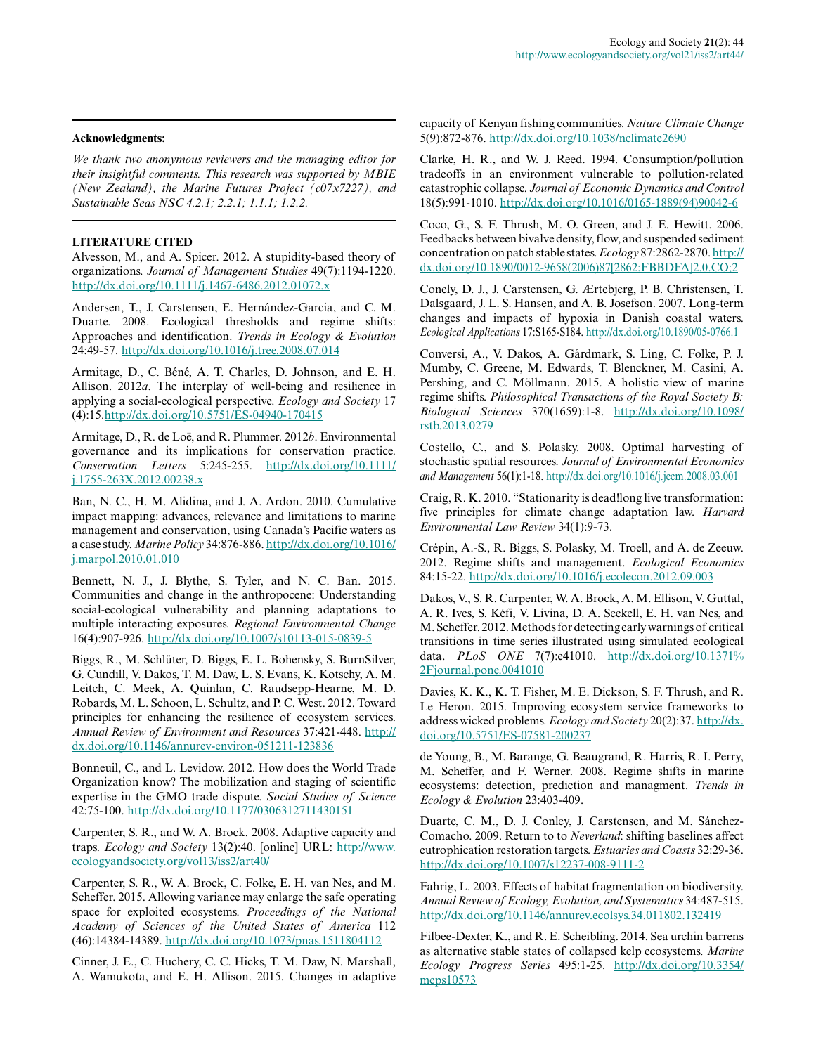## **Acknowledgments:**

*We thank two anonymous reviewers and the managing editor for their insightful comments. This research was supported by MBIE (New Zealand), the Marine Futures Project (c07x7227), and Sustainable Seas NSC 4.2.1; 2.2.1; 1.1.1; 1.2.2.*

# **LITERATURE CITED**

Alvesson, M., and A. Spicer. 2012. A stupidity-based theory of organizations. *Journal of Management Studies* 49(7):1194-1220. [http://dx.doi.org/10.1111/j.1467-6486.2012.01072.x](http://dx.doi.org/10.1111%2Fj.1467-6486.2012.01072.x) 

Andersen, T., J. Carstensen, E. Hernández-Garcia, and C. M. Duarte. 2008. Ecological thresholds and regime shifts: Approaches and identification. *Trends in Ecology & Evolution* 24:49-57. [http://dx.doi.org/10.1016/j.tree.2008.07.014](http://dx.doi.org/10.1016%2Fj.tree.2008.07.014) 

Armitage, D., C. Béné, A. T. Charles, D. Johnson, and E. H. Allison. 2012*a*. The interplay of well-being and resilience in applying a social-ecological perspective. *Ecology and Society* 17 (4):15[.http://dx.doi.org/10.5751/ES-04940-170415](http://dx.doi.org/10.5751/ES-04940-170415)

Armitage, D., R. de Loë, and R. Plummer. 2012*b*. Environmental governance and its implications for conservation practice. *Conservation Letters* 5:245-255. [http://dx.doi.org/10.1111/](http://dx.doi.org/10.1111%2Fj.1755-263X.2012.00238.x) [j.1755-263X.2012.00238.x](http://dx.doi.org/10.1111%2Fj.1755-263X.2012.00238.x) 

Ban, N. C., H. M. Alidina, and J. A. Ardon. 2010. Cumulative impact mapping: advances, relevance and limitations to marine management and conservation, using Canada's Pacific waters as a case study. *Marine Policy* 34:876-886. [http://dx.doi.org/10.1016/](http://dx.doi.org/10.1016%2Fj.marpol.2010.01.010) [j.marpol.2010.01.010](http://dx.doi.org/10.1016%2Fj.marpol.2010.01.010)

Bennett, N. J., J. Blythe, S. Tyler, and N. C. Ban. 2015. Communities and change in the anthropocene: Understanding social-ecological vulnerability and planning adaptations to multiple interacting exposures. *Regional Environmental Change* 16(4):907-926. [http://dx.doi.org/10.1007/s10113-015-0839-5](http://dx.doi.org/10.1007%2Fs10113-015-0839-5) 

Biggs, R., M. Schlüter, D. Biggs, E. L. Bohensky, S. BurnSilver, G. Cundill, V. Dakos, T. M. Daw, L. S. Evans, K. Kotschy, A. M. Leitch, C. Meek, A. Quinlan, C. Raudsepp-Hearne, M. D. Robards, M. L. Schoon, L. Schultz, and P. C. West. 2012. Toward principles for enhancing the resilience of ecosystem services. *Annual Review of Environment and Resources* 37:421-448. [http://](http://dx.doi.org/10.1146%2Fannurev-environ-051211-123836) [dx.doi.org/10.1146/annurev-environ-051211-123836](http://dx.doi.org/10.1146%2Fannurev-environ-051211-123836)

Bonneuil, C., and L. Levidow. 2012. How does the World Trade Organization know? The mobilization and staging of scientific expertise in the GMO trade dispute. *Social Studies of Science* 42:75-100. [http://dx.doi.org/10.1177/0306312711430151](http://dx.doi.org/10.1177%2F0306312711430151) 

Carpenter, S. R., and W. A. Brock. 2008. Adaptive capacity and traps. *Ecology and Society* 13(2):40. [online] URL: [http://www.](http://www.ecologyandsociety.org/vol13/iss2/art40/) [ecologyandsociety.org/vol13/iss2/art40/](http://www.ecologyandsociety.org/vol13/iss2/art40/)

Carpenter, S. R., W. A. Brock, C. Folke, E. H. van Nes, and M. Scheffer. 2015. Allowing variance may enlarge the safe operating space for exploited ecosystems. *Proceedings of the National Academy of Sciences of the United States of America* 112 (46):14384-14389. [http://dx.doi.org/10.1073/pnas.1511804112](http://dx.doi.org/10.1073%2Fpnas.1511804112)

Cinner, J. E., C. Huchery, C. C. Hicks, T. M. Daw, N. Marshall, A. Wamukota, and E. H. Allison. 2015. Changes in adaptive capacity of Kenyan fishing communities. *Nature Climate Change* 5(9):872-876. [http://dx.doi.org/10.1038/nclimate2690](http://dx.doi.org/10.1038%2Fnclimate2690) 

Clarke, H. R., and W. J. Reed. 1994. Consumption/pollution tradeoffs in an environment vulnerable to pollution-related catastrophic collapse. *Journal of Economic Dynamics and Control* 18(5):991-1010. [http://dx.doi.org/10.1016/0165-1889\(94\)90042-6](http://dx.doi.org/10.1016%2F0165-1889%2894%2990042-6) 

Coco, G., S. F. Thrush, M. O. Green, and J. E. Hewitt. 2006. Feedbacks between bivalve density, flow, and suspended sediment concentration on patch stable states. *Ecology* 87:2862-2870. [http://](http://dx.doi.org/10.1890%2F0012-9658%282006%2987%5B2862%3AFBBDFA%5D2.0.CO%3B2) [dx.doi.org/10.1890/0012-9658\(2006\)87\[2862:FBBDFA\]2.0.CO;2](http://dx.doi.org/10.1890%2F0012-9658%282006%2987%5B2862%3AFBBDFA%5D2.0.CO%3B2) 

Conely, D. J., J. Carstensen, G. Ærtebjerg, P. B. Christensen, T. Dalsgaard, J. L. S. Hansen, and A. B. Josefson. 2007. Long-term changes and impacts of hypoxia in Danish coastal waters. *Ecological Applications* 17:S165-S184. [http://dx.doi.org/10.1890/05-0766.1](http://dx.doi.org/10.1890%2F05-0766.1)

Conversi, A., V. Dakos, A. Gårdmark, S. Ling, C. Folke, P. J. Mumby, C. Greene, M. Edwards, T. Blenckner, M. Casini, A. Pershing, and C. Möllmann. 2015. A holistic view of marine regime shifts. *Philosophical Transactions of the Royal Society B: Biological Sciences* 370(1659):1-8. [http://dx.doi.org/10.1098/](http://dx.doi.org/10.1098%2Frstb.2013.0279) [rstb.2013.0279](http://dx.doi.org/10.1098%2Frstb.2013.0279)

Costello, C., and S. Polasky. 2008. Optimal harvesting of stochastic spatial resources. *Journal of Environmental Economics and Management* 56(1):1-18. [http://dx.doi.org/10.1016/j.jeem.2008.03.001](http://dx.doi.org/10.1016%2Fj.jeem.2008.03.001)

Craig, R. K. 2010. "Stationarity is dead!long live transformation: five principles for climate change adaptation law. *Harvard Environmental Law Review* 34(1):9-73.

Crépin, A.-S., R. Biggs, S. Polasky, M. Troell, and A. de Zeeuw. 2012. Regime shifts and management. *Ecological Economics* 84:15-22. [http://dx.doi.org/10.1016/j.ecolecon.2012.09.003](http://dx.doi.org/10.1016%2Fj.ecolecon.2012.09.003)

Dakos, V., S. R. Carpenter, W. A. Brock, A. M. Ellison, V. Guttal, A. R. Ives, S. Kéfi, V. Livina, D. A. Seekell, E. H. van Nes, and M. Scheffer. 2012. Methods for detecting early warnings of critical transitions in time series illustrated using simulated ecological data. *PLoS ONE* 7(7):e41010. [http://dx.doi.org/10.1371%](http://dx.doi.org/10.1371%252Fjournal.pone.0041010) [2Fjournal.pone.0041010](http://dx.doi.org/10.1371%252Fjournal.pone.0041010) 

Davies, K. K., K. T. Fisher, M. E. Dickson, S. F. Thrush, and R. Le Heron. 2015. Improving ecosystem service frameworks to address wicked problems. *Ecology and Society* 20(2):37. [http://dx.](http://dx.doi.org/10.5751%2FES-07581-200237) [doi.org/10.5751/ES-07581-200237](http://dx.doi.org/10.5751%2FES-07581-200237)

de Young, B., M. Barange, G. Beaugrand, R. Harris, R. I. Perry, M. Scheffer, and F. Werner. 2008. Regime shifts in marine ecosystems: detection, prediction and managment. *Trends in Ecology & Evolution* 23:403-409.

Duarte, C. M., D. J. Conley, J. Carstensen, and M. Sánchez-Comacho. 2009. Return to to *Neverland*: shifting baselines affect eutrophication restoration targets. *Estuaries and Coasts* 32:29-36. [http://dx.doi.org/10.1007/s12237-008-9111-2](http://dx.doi.org/10.1007%2Fs12237-008-9111-2)

Fahrig, L. 2003. Effects of habitat fragmentation on biodiversity. *Annual Review of Ecology, Evolution, and Systematics* 34:487-515. [http://dx.doi.org/10.1146/annurev.ecolsys.34.011802.132419](http://dx.doi.org/10.1146%2Fannurev.ecolsys.34.011802.132419)

Filbee-Dexter, K., and R. E. Scheibling. 2014. Sea urchin barrens as alternative stable states of collapsed kelp ecosystems. *Marine Ecology Progress Series* 495:1-25. [http://dx.doi.org/10.3354/](http://dx.doi.org/10.3354%2Fmeps10573) [meps10573](http://dx.doi.org/10.3354%2Fmeps10573)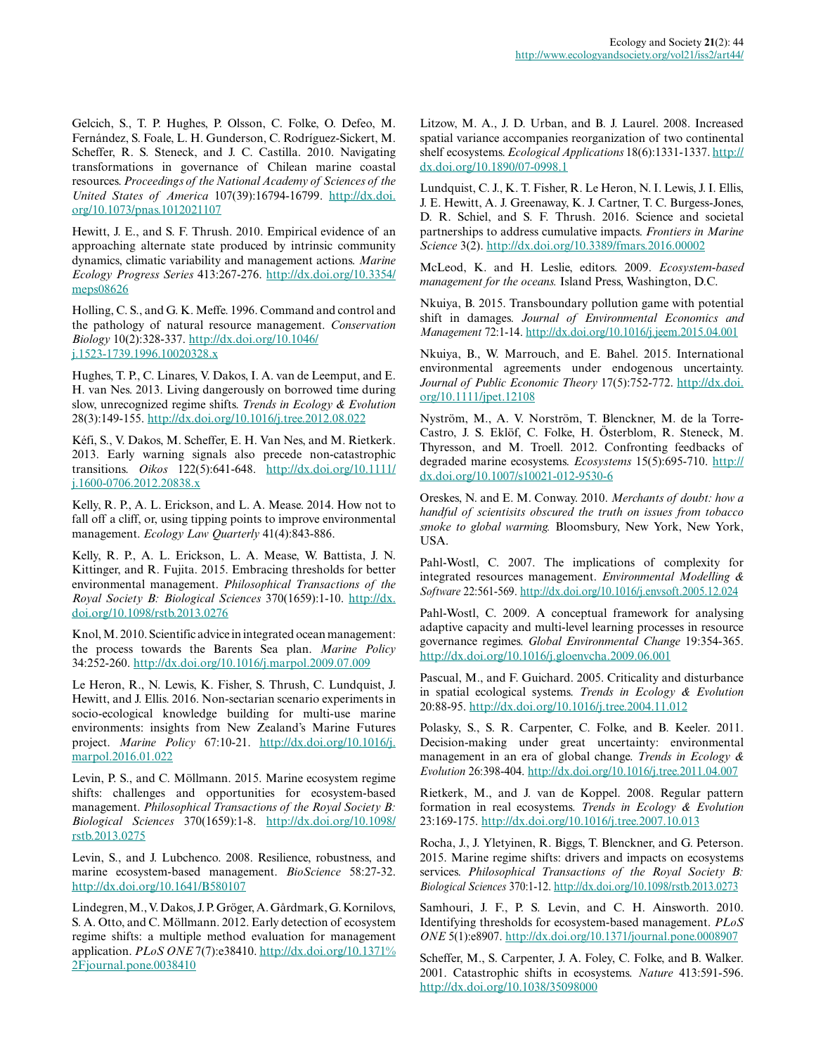Gelcich, S., T. P. Hughes, P. Olsson, C. Folke, O. Defeo, M. Fernández, S. Foale, L. H. Gunderson, C. Rodríguez-Sickert, M. Scheffer, R. S. Steneck, and J. C. Castilla. 2010. Navigating transformations in governance of Chilean marine coastal resources. *Proceedings of the National Academy of Sciences of the United States of America* 107(39):16794-16799. [http://dx.doi.](http://dx.doi.org/10.1073%2Fpnas.1012021107) [org/10.1073/pnas.1012021107](http://dx.doi.org/10.1073%2Fpnas.1012021107) 

Hewitt, J. E., and S. F. Thrush. 2010. Empirical evidence of an approaching alternate state produced by intrinsic community dynamics, climatic variability and management actions. *Marine Ecology Progress Series* 413:267-276. [http://dx.doi.org/10.3354/](http://dx.doi.org/10.3354%2Fmeps08626) [meps08626](http://dx.doi.org/10.3354%2Fmeps08626)

Holling, C. S., and G. K. Meffe. 1996. Command and control and the pathology of natural resource management. *Conservation Biology* 10(2):328-337. [http://dx.doi.org/10.1046/](http://dx.doi.org/10.1046%2Fj.1523-1739.1996.10020328.x) [j.1523-1739.1996.10020328.x](http://dx.doi.org/10.1046%2Fj.1523-1739.1996.10020328.x) 

Hughes, T. P., C. Linares, V. Dakos, I. A. van de Leemput, and E. H. van Nes. 2013. Living dangerously on borrowed time during slow, unrecognized regime shifts. *Trends in Ecology & Evolution* 28(3):149-155. [http://dx.doi.org/10.1016/j.tree.2012.08.022](http://dx.doi.org/10.1016%2Fj.tree.2012.08.022)

Kéfi, S., V. Dakos, M. Scheffer, E. H. Van Nes, and M. Rietkerk. 2013. Early warning signals also precede non-catastrophic transitions. *Oikos* 122(5):641-648. [http://dx.doi.org/10.1111/](http://dx.doi.org/10.1111%2Fj.1600-0706.2012.20838.x) [j.1600-0706.2012.20838.x](http://dx.doi.org/10.1111%2Fj.1600-0706.2012.20838.x)

Kelly, R. P., A. L. Erickson, and L. A. Mease. 2014. How not to fall off a cliff, or, using tipping points to improve environmental management. *Ecology Law Quarterly* 41(4):843-886.

Kelly, R. P., A. L. Erickson, L. A. Mease, W. Battista, J. N. Kittinger, and R. Fujita. 2015. Embracing thresholds for better environmental management. *Philosophical Transactions of the Royal Society B: Biological Sciences* 370(1659):1-10. [http://dx.](http://dx.doi.org/10.1098%2Frstb.2013.0276) [doi.org/10.1098/rstb.2013.0276](http://dx.doi.org/10.1098%2Frstb.2013.0276)

Knol, M. 2010. Scientific advice in integrated ocean management: the process towards the Barents Sea plan. *Marine Policy* 34:252-260. [http://dx.doi.org/10.1016/j.marpol.2009.07.009](http://dx.doi.org/10.1016%2Fj.marpol.2009.07.009) 

Le Heron, R., N. Lewis, K. Fisher, S. Thrush, C. Lundquist, J. Hewitt, and J. Ellis. 2016. Non-sectarian scenario experiments in socio-ecological knowledge building for multi-use marine environments: insights from New Zealand's Marine Futures project. *Marine Policy* 67:10-21. [http://dx.doi.org/10.1016/j.](http://dx.doi.org/10.1016%2Fj.marpol.2016.01.022) [marpol.2016.01.022](http://dx.doi.org/10.1016%2Fj.marpol.2016.01.022) 

Levin, P. S., and C. Möllmann. 2015. Marine ecosystem regime shifts: challenges and opportunities for ecosystem-based management. *Philosophical Transactions of the Royal Society B: Biological Sciences* 370(1659):1-8. [http://dx.doi.org/10.1098/](http://dx.doi.org/10.1098%2Frstb.2013.0275) [rstb.2013.0275](http://dx.doi.org/10.1098%2Frstb.2013.0275)

Levin, S., and J. Lubchenco. 2008. Resilience, robustness, and marine ecosystem-based management. *BioScience* 58:27-32. [http://dx.doi.org/10.1641/B580107](http://dx.doi.org/10.1641%2FB580107)

Lindegren, M., V. Dakos, J. P. Gröger, A. Gårdmark, G. Kornilovs, S. A. Otto, and C. Möllmann. 2012. Early detection of ecosystem regime shifts: a multiple method evaluation for management application. *PLoS ONE* 7(7):e38410. [http://dx.doi.org/10.1371%](http://dx.doi.org/10.1371%252Fjournal.pone.0038410) [2Fjournal.pone.0038410](http://dx.doi.org/10.1371%252Fjournal.pone.0038410) 

Litzow, M. A., J. D. Urban, and B. J. Laurel. 2008. Increased spatial variance accompanies reorganization of two continental shelf ecosystems. *Ecological Applications* 18(6):1331-1337. [http://](http://dx.doi.org/10.1890%2F07-0998.1) [dx.doi.org/10.1890/07-0998.1](http://dx.doi.org/10.1890%2F07-0998.1) 

Lundquist, C. J., K. T. Fisher, R. Le Heron, N. I. Lewis, J. I. Ellis, J. E. Hewitt, A. J. Greenaway, K. J. Cartner, T. C. Burgess-Jones, D. R. Schiel, and S. F. Thrush. 2016. Science and societal partnerships to address cumulative impacts. *Frontiers in Marine Science* 3(2). [http://dx.doi.org/10.3389/fmars.2016.00002](http://dx.doi.org/10.3389%2Ffmars.2016.00002)

McLeod, K. and H. Leslie, editors. 2009. *Ecosystem-based management for the oceans.* Island Press, Washington, D.C.

Nkuiya, B. 2015. Transboundary pollution game with potential shift in damages. *Journal of Environmental Economics and Management* 72:1-14. [http://dx.doi.org/10.1016/j.jeem.2015.04.001](http://dx.doi.org/10.1016%2Fj.jeem.2015.04.001) 

Nkuiya, B., W. Marrouch, and E. Bahel. 2015. International environmental agreements under endogenous uncertainty. *Journal of Public Economic Theory* 17(5):752-772. [http://dx.doi.](http://dx.doi.org/10.1111%2Fjpet.12108) [org/10.1111/jpet.12108](http://dx.doi.org/10.1111%2Fjpet.12108)

Nyström, M., A. V. Norström, T. Blenckner, M. de la Torre-Castro, J. S. Eklöf, C. Folke, H. Österblom, R. Steneck, M. Thyresson, and M. Troell. 2012. Confronting feedbacks of degraded marine ecosystems. *Ecosystems* 15(5):695-710. [http://](http://dx.doi.org/10.1007%2Fs10021-012-9530-6) [dx.doi.org/10.1007/s10021-012-9530-6](http://dx.doi.org/10.1007%2Fs10021-012-9530-6) 

Oreskes, N. and E. M. Conway. 2010. *Merchants of doubt: how a handful of scientisits obscured the truth on issues from tobacco smoke to global warming.* Bloomsbury, New York, New York, USA.

Pahl-Wostl, C. 2007. The implications of complexity for integrated resources management. *Environmental Modelling & Software* 22:561-569. [http://dx.doi.org/10.1016/j.envsoft.2005.12.024](http://dx.doi.org/10.1016%2Fj.envsoft.2005.12.024) 

Pahl-Wostl, C. 2009. A conceptual framework for analysing adaptive capacity and multi-level learning processes in resource governance regimes. *Global Environmental Change* 19:354-365. [http://dx.doi.org/10.1016/j.gloenvcha.2009.06.001](http://dx.doi.org/10.1016%2Fj.gloenvcha.2009.06.001)

Pascual, M., and F. Guichard. 2005. Criticality and disturbance in spatial ecological systems. *Trends in Ecology & Evolution* 20:88-95. [http://dx.doi.org/10.1016/j.tree.2004.11.012](http://dx.doi.org/10.1016%2Fj.tree.2004.11.012) 

Polasky, S., S. R. Carpenter, C. Folke, and B. Keeler. 2011. Decision-making under great uncertainty: environmental management in an era of global change. *Trends in Ecology & Evolution* 26:398-404. [http://dx.doi.org/10.1016/j.tree.2011.04.007](http://dx.doi.org/10.1016%2Fj.tree.2011.04.007) 

Rietkerk, M., and J. van de Koppel. 2008. Regular pattern formation in real ecosystems. *Trends in Ecology & Evolution* 23:169-175. [http://dx.doi.org/10.1016/j.tree.2007.10.013](http://dx.doi.org/10.1016%2Fj.tree.2007.10.013) 

Rocha, J., J. Yletyinen, R. Biggs, T. Blenckner, and G. Peterson. 2015. Marine regime shifts: drivers and impacts on ecosystems services. *Philosophical Transactions of the Royal Society B: Biological Sciences* 370:1-12. <http://dx.doi.org/10.1098/rstb.2013.0273>

Samhouri, J. F., P. S. Levin, and C. H. Ainsworth. 2010. Identifying thresholds for ecosystem-based management. *PLoS ONE* 5(1):e8907. [http://dx.doi.org/10.1371/journal.pone.0008907](http://dx.doi.org/10.1371%2Fjournal.pone.0008907) 

Scheffer, M., S. Carpenter, J. A. Foley, C. Folke, and B. Walker. 2001. Catastrophic shifts in ecosystems. *Nature* 413:591-596. [http://dx.doi.org/10.1038/35098000](http://dx.doi.org/10.1038%2F35098000)